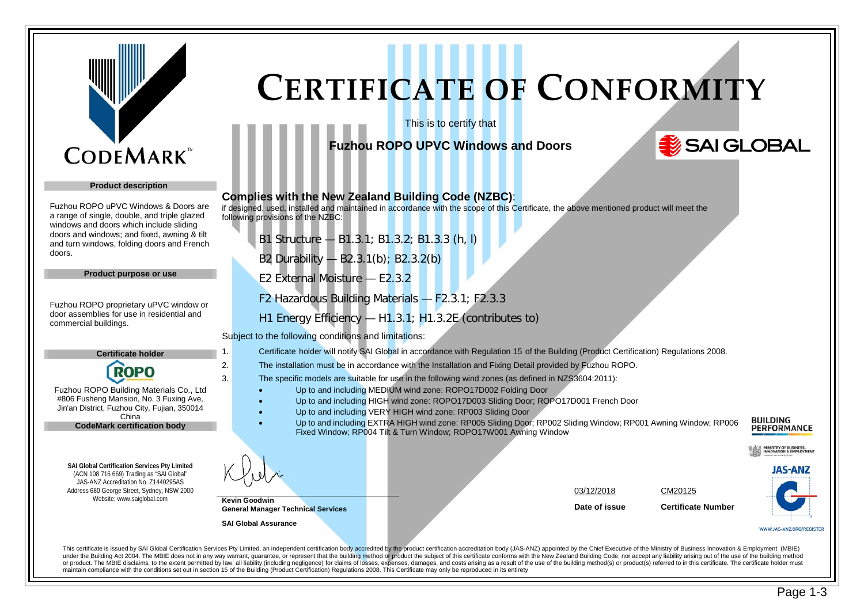

#### **Product description**

Fuzhou ROPO uPVC Windows & Doors are a range of single, double, and triple glazed windows and doors which include sliding doors and windows; and fixed, awning & tilt and turn windows, folding doors and French doors.

**General Manager Technical Services**

**SAI Global Assurance**

**Product purpose or use**

Fuzhou ROPO proprietary uPVC window or door assemblies for use in residential and commercial buildings.

> **Certificate holder ROPO**

Fuzhou ROPO Building Materials Co., Ltd #806 Fusheng Mansion, No. 3 Fuxing Ave, Jin'an District, Fuzhou City, Fujian, 350014 China **CodeMark certification body**

**SAI Global Certification Services Pty Limited** (ACN 108 716 669) Trading as "SAI Global" JAS-ANZ Accreditation No. Z1440295AS Address 680 George Street, Sydney, NSW 2000 Website: www.saiglobal.com

## **CERTIFICATE OF CONFORMITY**

This is to certify that

#### **Fuzhou ROPO UPVC Windows and Doors**

### SAI GLOBAL

| <b>Complies with the New Zealand Building Code (NZBC):</b><br>if designed, used, installed and maintained in accordance with the scope of this Certificate, the above mentioned product will meet the<br>following provisions of the NZBC: |                                     |  |
|--------------------------------------------------------------------------------------------------------------------------------------------------------------------------------------------------------------------------------------------|-------------------------------------|--|
| B1 Structure - B1.3.1; B1.3.2; B1.3.3 (h, l)                                                                                                                                                                                               |                                     |  |
| B2 Durability - B2.3.1(b); B2.3.2(b)                                                                                                                                                                                                       |                                     |  |
| E2 External Moisture - E2.3.2                                                                                                                                                                                                              |                                     |  |
| F2 Hazardous Building Materials - F2.3.1; F2.3.3                                                                                                                                                                                           |                                     |  |
| H1 Energy Efficiency $-$ H1.3.1; H1.3.2E (contributes to)                                                                                                                                                                                  |                                     |  |
| Subject to the following conditions and limitations:                                                                                                                                                                                       |                                     |  |
| Certificate holder will notify SAI Global in accordance with Regulation 15 of the Building (Product Certification) Regulations 2008.<br>1.                                                                                                 |                                     |  |
| 2.<br>The installation must be in accordance with the Installation and Fixing Detail provided by Fuzhou ROPO.                                                                                                                              |                                     |  |
| The specific models are suitable for use in the following wind zones (as defined in NZS3604:2011):<br>3.                                                                                                                                   |                                     |  |
| Up to and including MEDIUM wind zone: ROPO17D002 Folding Door                                                                                                                                                                              |                                     |  |
| Up to and including HIGH wind zone: ROPO17D003 Sliding Door; ROPO17D001 French Door<br>Up to and including VERY HIGH wind zone: RP003 Sliding Door                                                                                         |                                     |  |
| Up to and including EXTRA HIGH wind zone: RP005 Sliding Door; RP002 Sliding Window; RP001 Awning Window; RP006                                                                                                                             |                                     |  |
| Fixed Window; RP004 Tilt & Turn Window; ROPO17W001 Awning Window                                                                                                                                                                           |                                     |  |
|                                                                                                                                                                                                                                            |                                     |  |
|                                                                                                                                                                                                                                            | 03/12/2018<br>CM20125               |  |
| <b>Kevin Goodwin</b><br>Coneral Manager Teabnical Convices                                                                                                                                                                                 | Date of issue<br>Certificate Number |  |

**JAS-ANZ** 

WWW.JAS-ANZ.ORG/REGISTER

**INISTRY OF BUSINESS,<br>NNOVATION & EMPLOYMENT** 

**BUILDING PERFORMANCE** 

This certificate is issued by SAI Global Certification Services Ptv Limited. an independent certification body accredited by the product certification accreditation body (JAS-ANZ) appointed by the Chief Executive of the Mi under the Building Act 2004. The MBIE does not in any way warrant, quarantee, or represent that the building method or product the subject of this certificate conforms with the New Zealand Building Code, nor accept any lia or product. The MBIE disclaims, to the extent permitted by law, all liability (including negligence) for claims of losses, expenses, damages, and costs arising as a result of the use of the building method(s) or product(s) maintain compliance with the conditions set out in section 15 of the Building (Product Certification) Regulations 2008. This Certificate may only be reproduced in its entirety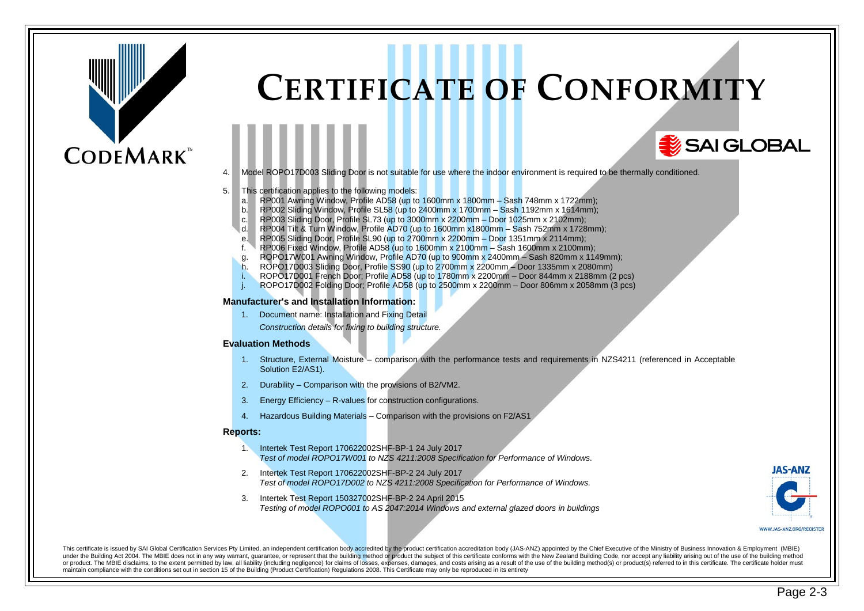## **CODEMARK**<sup>\*</sup>

### **CERTIFICATE OF CONFORMITY**

4. Model ROPO17D003 Sliding Door is not suitable for use where the indoor environment is required to be thermally conditioned.

#### 5. This certification applies to the following models:

- a. RP001 Awning Window, Profile AD58 (up to  $1600$ mm x  $1800$ mm Sash 748mm x 1722mm);
- b. RP002 Sliding Window, Profile SL58 (up to 2400mm  $x$  1700mm Sash 1192mm  $x$  1614mm);
- c. RP003 Sliding Door, Profile SL73 (up to 3000mm x 2200mm Door 1025mm x 2102mm);
- d. RP004 Tilt & Turn Window, Profile AD70 (up to 1600mm x1800mm Sash 752mm x 1728mm);
- 
- e. RP005 Sliding Door, Profile SL90 (up to 2700mm x 2200mm Door 1351mm x 2114mm);<br>f. RP006 Fixed Window. Profile AD58 (up to 1600mm x 2100mm Sash 1600mm x 2100mm  $f.$  RP006 Fixed Window, Profile AD58 (up to 1600mm x 2100mm – Sash 1600mm x 2100mm);
- g. ROPO17W001 Awning Window, Profile AD70 (up to 900mm x 2400mm Sash 820mm x 1149mm);
- h. ROPO17D003 Sliding Door, Profile SS90 (up to 2700mm x 2200mm Door 1335mm x 2080mm)
- i. ROPO17D001 French Door; Profile AD58 (up to 1780mm x 2200mm Door 844mm x 2188mm (2 pcs)
- j. ROPO17D002 Folding Door; Profile AD58 (up to 2500mm x 2200mm Door 806mm x 2058mm (3 pcs)

#### **Manufacturer's and Installation Information:**

1. Document name: Installation and Fixing Detail

*Construction details for fixing to building structure.*

#### **Evaluation Methods**

- 1. Structure, External Moisture comparison with the performance tests and requirements in NZS4211 (referenced in Acceptable Solution E2/AS1).
- 2. Durability Comparison with the provisions of B2/VM2.
- 3. Energy Efficiency R-values for construction configurations.
- 4. Hazardous Building Materials Comparison with the provisions on F2/AS1

#### **Reports:**

- 1. Intertek Test Report 170622002SHF-BP-1 24 July 2017 *Test of model ROPO17W001 to NZS 4211:2008 Specification for Performance of Windows.*
- 2. Intertek Test Report 170622002SHF-BP-2 24 July 2017 *Test of model ROPO17D002 to NZS 4211:2008 Specification for Performance of Windows.*
- 3. Intertek Test Report 150327002SHF-BP-2 24 April 2015 *Testing of model ROPO001 to AS 2047:2014 Windows and external glazed doors in buildings*



SAI GLOBAL

This certificate is issued by SAI Global Certification Services Ptv Limited, an independent certification body accredited by the product certification accreditation body (JAS-ANZ) appointed by the Chief Executive of the Mi under the Building Act 2004. The MBIE does not in any way warrant, quarantee, or represent that the building method or product the subject of this certificate conforms with the New Zealand Building Code, nor accept any lia or product. The MBIE disclaims, to the extent permitted by law, all liability (including negligence) for claims of losses, expenses, damages, and costs arising as a result of the use of the building method(s) or product(s) maintain compliance with the conditions set out in section 15 of the Building (Product Certification) Regulations 2008. This Certificate may only be reproduced in its entirety